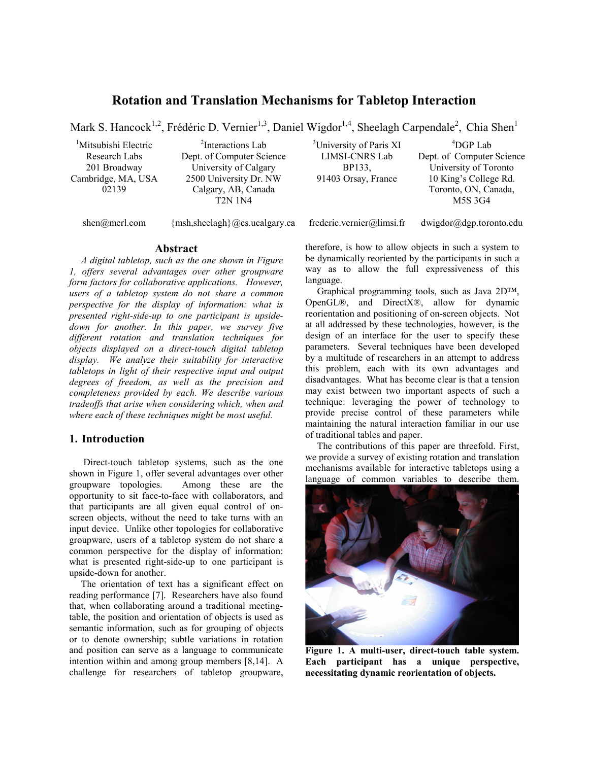# **Rotation and Translation Mechanisms for Tabletop Interaction**

Mark S. Hancock<sup>1,2</sup>, Frédéric D. Vernier<sup>1,3</sup>, Daniel Wigdor<sup>1,4</sup>, Sheelagh Carpendale<sup>2</sup>, Chia Shen<sup>1</sup>

<sup>1</sup>Mitsubishi Electric Research Labs 201 Broadway Cambridge, MA, USA 02139

<sup>2</sup>Interactions Lab Dept. of Computer Science University of Calgary 2500 University Dr. NW Calgary, AB, Canada T2N 1N4

<sup>3</sup>University of Paris XI LIMSI-CNRS Lab BP133, 91403 Orsay, France

4 DGP Lab Dept. of Computer Science University of Toronto 10 King's College Rd. Toronto, ON, Canada, M5S 3G4

shen@merl.com {msh,sheelagh}@cs.ucalgary.ca frederic.vernier@limsi.fr dwigdor@dgp.toronto.edu

### **Abstract**

*A digital tabletop, such as the one shown in Figure 1, offers several advantages over other groupware form factors for collaborative applications. However, users of a tabletop system do not share a common perspective for the display of information: what is presented right-side-up to one participant is upsidedown for another. In this paper, we survey five different rotation and translation techniques for objects displayed on a direct-touch digital tabletop display. We analyze their suitability for interactive tabletops in light of their respective input and output degrees of freedom, as well as the precision and completeness provided by each. We describe various tradeoffs that arise when considering which, when and where each of these techniques might be most useful.* 

## **1. Introduction**

 Direct-touch tabletop systems, such as the one shown in Figure 1, offer several advantages over other groupware topologies. Among these are the opportunity to sit face-to-face with collaborators, and that participants are all given equal control of onscreen objects, without the need to take turns with an input device. Unlike other topologies for collaborative groupware, users of a tabletop system do not share a common perspective for the display of information: what is presented right-side-up to one participant is upside-down for another.

The orientation of text has a significant effect on reading performance [7]. Researchers have also found that, when collaborating around a traditional meetingtable, the position and orientation of objects is used as semantic information, such as for grouping of objects or to denote ownership; subtle variations in rotation and position can serve as a language to communicate intention within and among group members [8,14]. A challenge for researchers of tabletop groupware, therefore, is how to allow objects in such a system to be dynamically reoriented by the participants in such a way as to allow the full expressiveness of this language.

Graphical programming tools, such as Java 2D™, OpenGL®, and DirectX®, allow for dynamic reorientation and positioning of on-screen objects. Not at all addressed by these technologies, however, is the design of an interface for the user to specify these parameters. Several techniques have been developed by a multitude of researchers in an attempt to address this problem, each with its own advantages and disadvantages. What has become clear is that a tension may exist between two important aspects of such a technique: leveraging the power of technology to provide precise control of these parameters while maintaining the natural interaction familiar in our use of traditional tables and paper.

The contributions of this paper are threefold. First, we provide a survey of existing rotation and translation mechanisms available for interactive tabletops using a language of common variables to describe them.



**Figure 1. A multi-user, direct-touch table system. Each participant has a unique perspective, necessitating dynamic reorientation of objects.**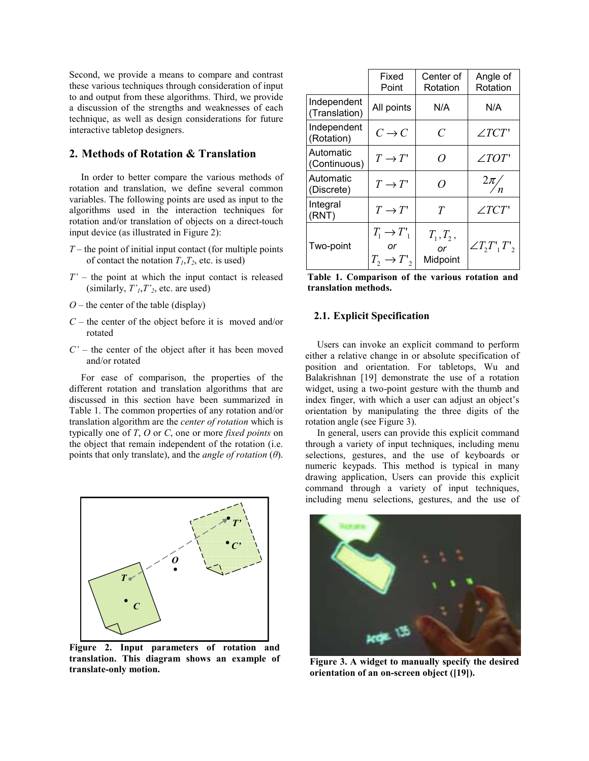Second, we provide a means to compare and contrast these various techniques through consideration of input to and output from these algorithms. Third, we provide a discussion of the strengths and weaknesses of each technique, as well as design considerations for future interactive tabletop designers.

## **2. Methods of Rotation & Translation**

In order to better compare the various methods of rotation and translation, we define several common variables. The following points are used as input to the algorithms used in the interaction techniques for rotation and/or translation of objects on a direct-touch input device (as illustrated in Figure 2):

- *T* the point of initial input contact (for multiple points of contact the notation  $T_1, T_2$ , etc. is used)
- *T'* the point at which the input contact is released (similarly,  $T<sub>1</sub>, T<sub>2</sub>$ , etc. are used)
- $O$  the center of the table (display)
- *C* the center of the object before it is moved and/or rotated
- *C'*  the center of the object after it has been moved and/or rotated

For ease of comparison, the properties of the different rotation and translation algorithms that are discussed in this section have been summarized in Table 1. The common properties of any rotation and/or translation algorithm are the *center of rotation* which is typically one of *T*, *O* or *C*, one or more *fixed points* on the object that remain independent of the rotation (i.e. points that only translate), and the *angle of rotation* (*θ*).



**Figure 2. Input parameters of rotation and translation. This diagram shows an example of translation.** This diagram shows an example of Figure 3. A widget to manually specify the desired translate-only motion.

|                              | Fixed<br>Point                                       | Center of<br>Rotation         | Angle of<br>Rotation |  |
|------------------------------|------------------------------------------------------|-------------------------------|----------------------|--|
| Independent<br>(Translation) | All points                                           | N/A                           | N/A                  |  |
| Independent<br>(Rotation)    | $C \rightarrow C$                                    | $\overline{C}$                | $\angle TCT$         |  |
| Automatic<br>(Continuous)    | $T \to T'$                                           | $\Omega$                      | $\angle TOT$         |  |
| Automatic<br>(Discrete)      | $T \to T'$                                           | $\Omega$                      | $\frac{2\pi}{n}$     |  |
| Integral<br>(RNT)            | $T \to T'$                                           | T                             | $\angle TCT$         |  |
| Two-point                    | $T_1 \rightarrow T_1$<br>or<br>$T_2 \rightarrow T$ , | $T_1, T_2,$<br>or<br>Midpoint | $\angle T, T', T'$   |  |

|  | Table 1. Comparison of the various rotation and |  |  |  |
|--|-------------------------------------------------|--|--|--|
|  | translation methods.                            |  |  |  |

### **2.1. Explicit Specification**

Users can invoke an explicit command to perform either a relative change in or absolute specification of position and orientation. For tabletops, Wu and Balakrishnan [19] demonstrate the use of a rotation widget, using a two-point gesture with the thumb and index finger, with which a user can adjust an object's orientation by manipulating the three digits of the rotation angle (see Figure 3).

In general, users can provide this explicit command through a variety of input techniques, including menu selections, gestures, and the use of keyboards or numeric keypads. This method is typical in many drawing application, Users can provide this explicit command through a variety of input techniques, including menu selections, gestures, and the use of



**orientation of an on-screen object ([19]).**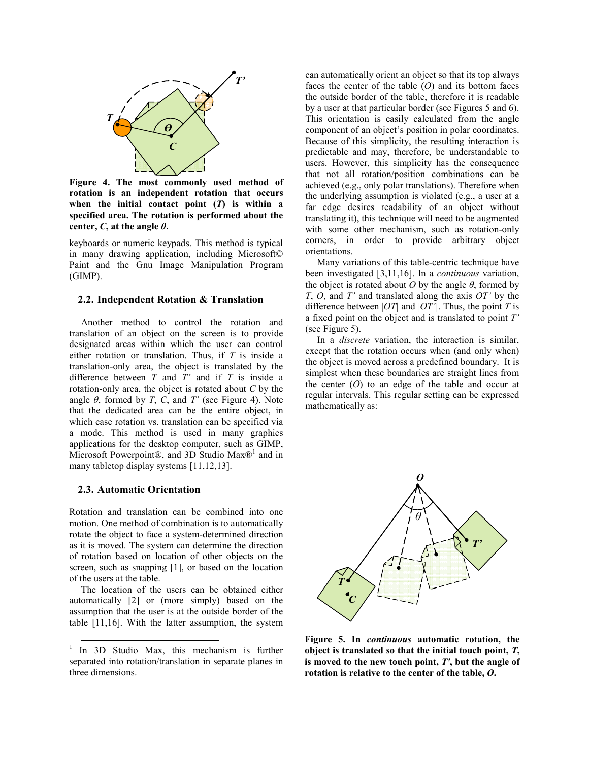

**Figure 4. The most commonly used method of rotation is an independent rotation that occurs when the initial contact point (***T***) is within a specified area. The rotation is performed about the center,** *C***, at the angle**  $\theta$ **.** 

keyboards or numeric keypads. This method is typical in many drawing application, including Microsoft© Paint and the Gnu Image Manipulation Program (GIMP).

#### **2.2. Independent Rotation & Translation**

Another method to control the rotation and translation of an object on the screen is to provide designated areas within which the user can control either rotation or translation. Thus, if *T* is inside a translation-only area, the object is translated by the difference between *T* and *T'* and if *T* is inside a rotation-only area, the object is rotated about *C* by the angle  $\theta$ , formed by *T*, *C*, and *T'* (see Figure 4). Note that the dedicated area can be the entire object, in which case rotation vs. translation can be specified via a mode. This method is used in many graphics applications for the desktop computer, such as GIMP, Microsoft Powerpoint®, and 3D Studio  $Max@<sup>1</sup>$  and in many tabletop display systems [11,12,13].

#### **2.3. Automatic Orientation**

Rotation and translation can be combined into one motion. One method of combination is to automatically rotate the object to face a system-determined direction as it is moved. The system can determine the direction of rotation based on location of other objects on the screen, such as snapping [1], or based on the location of the users at the table.

The location of the users can be obtained either automatically [2] or (more simply) based on the assumption that the user is at the outside border of the table [11,16]. With the latter assumption, the system can automatically orient an object so that its top always faces the center of the table (*O*) and its bottom faces the outside border of the table, therefore it is readable by a user at that particular border (see Figures 5 and 6). This orientation is easily calculated from the angle component of an object's position in polar coordinates. Because of this simplicity, the resulting interaction is predictable and may, therefore, be understandable to users. However, this simplicity has the consequence that not all rotation/position combinations can be achieved (e.g., only polar translations). Therefore when the underlying assumption is violated (e.g., a user at a far edge desires readability of an object without translating it), this technique will need to be augmented with some other mechanism, such as rotation-only corners, in order to provide arbitrary object orientations.

Many variations of this table-centric technique have been investigated [3,11,16]. In a *continuous* variation, the object is rotated about  $O$  by the angle  $\theta$ , formed by *T*, *O*, and *T'* and translated along the axis *OT'* by the difference between  $|OT|$  and  $|OT'|$ . Thus, the point *T* is a fixed point on the object and is translated to point *T'* (see Figure 5).

In a *discrete* variation, the interaction is similar, except that the rotation occurs when (and only when) the object is moved across a predefined boundary. It is simplest when these boundaries are straight lines from the center (*O*) to an edge of the table and occur at regular intervals. This regular setting can be expressed mathematically as:



**Figure 5. In** *continuous* **automatic rotation, the object is translated so that the initial touch point,** *T***, is moved to the new touch point,** *T'***, but the angle of rotation is relative to the center of the table,** *O***.** 

<sup>&</sup>lt;sup>1</sup> In 3D Studio Max, this mechanism is further separated into rotation/translation in separate planes in three dimensions.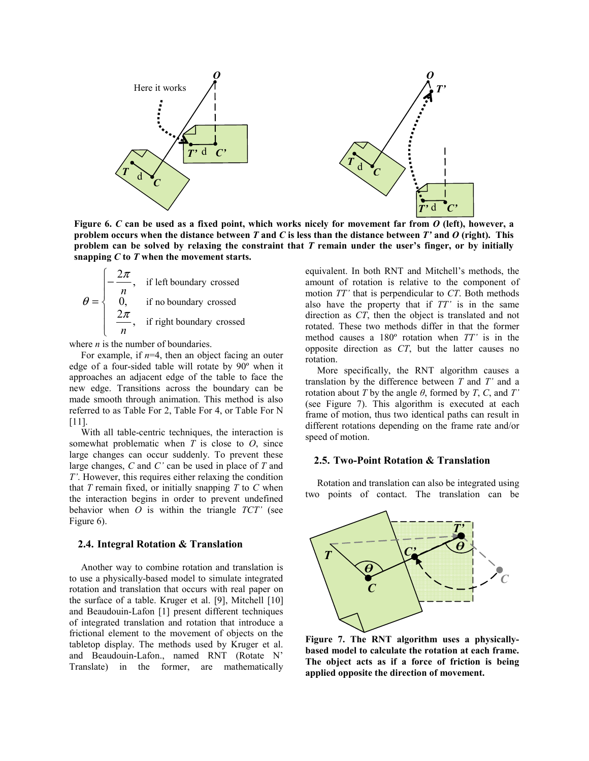

**Figure 6.** *C* **can be used as a fixed point, which works nicely for movement far from** *O* **(left), however, a problem occurs when the distance between** *T* **and** *C* **is less than the distance between** *T'* **and** *O* **(right). This problem can be solved by relaxing the constraint that** *T* **remain under the user's finger, or by initially snapping** *C* **to** *T* **when the movement starts.** 

$$
\theta = \begin{cases}\n-\frac{2\pi}{n}, & \text{if left boundary crossed} \\
0, & \text{if no boundary crossed} \\
\frac{2\pi}{n}, & \text{if right boundary crossed}\n\end{cases}
$$

where *n* is the number of boundaries.

For example, if  $n=4$ , then an object facing an outer edge of a four-sided table will rotate by 90º when it approaches an adjacent edge of the table to face the new edge. Transitions across the boundary can be made smooth through animation. This method is also referred to as Table For 2, Table For 4, or Table For N [11].

With all table-centric techniques, the interaction is somewhat problematic when *T* is close to *O*, since large changes can occur suddenly. To prevent these large changes, *C* and *C'* can be used in place of *T* and *T'*. However, this requires either relaxing the condition that  $T$  remain fixed, or initially snapping  $T$  to  $C$  when the interaction begins in order to prevent undefined behavior when *O* is within the triangle *TCT'* (see Figure 6).

#### **2.4. Integral Rotation & Translation**

Another way to combine rotation and translation is to use a physically-based model to simulate integrated rotation and translation that occurs with real paper on the surface of a table. Kruger et al. [9], Mitchell [10] and Beaudouin-Lafon [1] present different techniques of integrated translation and rotation that introduce a frictional element to the movement of objects on the tabletop display. The methods used by Kruger et al. and Beaudouin-Lafon., named RNT (Rotate N' Translate) in the former, are mathematically

equivalent. In both RNT and Mitchell's methods, the amount of rotation is relative to the component of motion *TT'* that is perpendicular to *CT*. Both methods also have the property that if *TT'* is in the same direction as *CT*, then the object is translated and not rotated. These two methods differ in that the former method causes a 180º rotation when *TT'* is in the opposite direction as *CT*, but the latter causes no rotation.

More specifically, the RNT algorithm causes a translation by the difference between *T* and *T'* and a rotation about *T* by the angle  $\theta$ , formed by *T*, *C*, and *T'* (see Figure 7). This algorithm is executed at each frame of motion, thus two identical paths can result in different rotations depending on the frame rate and/or speed of motion.

#### **2.5. Two-Point Rotation & Translation**

Rotation and translation can also be integrated using two points of contact. The translation can be



**Figure 7. The RNT algorithm uses a physicallybased model to calculate the rotation at each frame. The object acts as if a force of friction is being applied opposite the direction of movement.**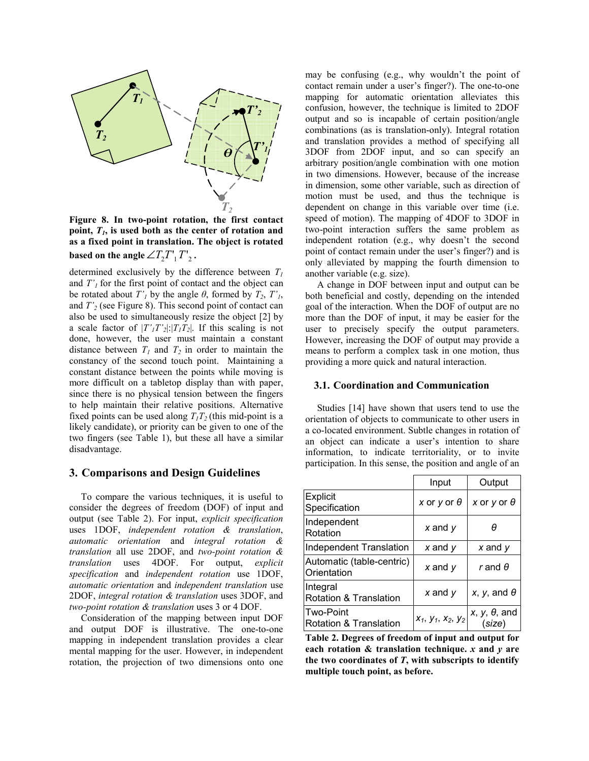

**Figure 8. In two-point rotation, the first contact**  point,  $T<sub>1</sub>$ , is used both as the center of rotation and **as a fixed point in translation. The object is rotated based on the angle**  $\angle T_2 T_1 T_2$ .

determined exclusively by the difference between  $T_1$ and  $T'_1$  for the first point of contact and the object can be rotated about  $T'_1$  by the angle  $\theta$ , formed by  $T_2$ ,  $T'_1$ , and *T'2* (see Figure 8). This second point of contact can also be used to simultaneously resize the object [2] by a scale factor of  $|T'_1T'_2|$ : $|T_1T_2|$ . If this scaling is not done, however, the user must maintain a constant distance between  $T_1$  and  $T_2$  in order to maintain the constancy of the second touch point. Maintaining a constant distance between the points while moving is more difficult on a tabletop display than with paper, since there is no physical tension between the fingers to help maintain their relative positions. Alternative fixed points can be used along  $T_1T_2$  (this mid-point is a likely candidate), or priority can be given to one of the two fingers (see Table 1), but these all have a similar disadvantage.

#### **3. Comparisons and Design Guidelines**

To compare the various techniques, it is useful to consider the degrees of freedom (DOF) of input and output (see Table 2). For input, *explicit specification* uses 1DOF, *independent rotation & translation*, *automatic orientation* and *integral rotation & translation* all use 2DOF, and *two-point rotation & translation* uses 4DOF. For output, *explicit specification* and *independent rotation* use 1DOF, *automatic orientation* and *independent translation* use 2DOF, *integral rotation & translation* uses 3DOF, and *two-point rotation & translation* uses 3 or 4 DOF.

Consideration of the mapping between input DOF and output DOF is illustrative. The one-to-one mapping in independent translation provides a clear mental mapping for the user. However, in independent rotation, the projection of two dimensions onto one may be confusing (e.g., why wouldn't the point of contact remain under a user's finger?). The one-to-one mapping for automatic orientation alleviates this confusion, however, the technique is limited to 2DOF output and so is incapable of certain position/angle combinations (as is translation-only). Integral rotation and translation provides a method of specifying all 3DOF from 2DOF input, and so can specify an arbitrary position/angle combination with one motion in two dimensions. However, because of the increase in dimension, some other variable, such as direction of motion must be used, and thus the technique is dependent on change in this variable over time (i.e. speed of motion). The mapping of 4DOF to 3DOF in two-point interaction suffers the same problem as independent rotation (e.g., why doesn't the second point of contact remain under the user's finger?) and is only alleviated by mapping the fourth dimension to another variable (e.g. size).

A change in DOF between input and output can be both beneficial and costly, depending on the intended goal of the interaction. When the DOF of output are no more than the DOF of input, it may be easier for the user to precisely specify the output parameters. However, increasing the DOF of output may provide a means to perform a complex task in one motion, thus providing a more quick and natural interaction.

#### **3.1. Coordination and Communication**

Studies [14] have shown that users tend to use the orientation of objects to communicate to other users in a co-located environment. Subtle changes in rotation of an object can indicate a user's intention to share information, to indicate territoriality, or to invite participation. In this sense, the position and angle of an

|                                               | Input                | Output                         |  |
|-----------------------------------------------|----------------------|--------------------------------|--|
| Explicit<br>Specification                     | x or y or $\theta$   | x or y or $\theta$             |  |
| Independent<br>Rotation                       | $x$ and $y$          | θ                              |  |
| Independent Translation                       | $x$ and $y$          | $x$ and $y$                    |  |
| Automatic (table-centric)<br>Orientation      | $x$ and $y$          | r and $\theta$                 |  |
| Integral<br><b>Rotation &amp; Translation</b> | $x$ and $y$          | x, y, and $\theta$             |  |
| <b>Two-Point</b><br>Rotation & Translation    | $x_1, y_1, x_2, y_2$ | $x, y, \theta$ , and<br>(size) |  |

**Table 2. Degrees of freedom of input and output for each rotation & translation technique.** *x* **and** *y* **are the two coordinates of** *T***, with subscripts to identify multiple touch point, as before.**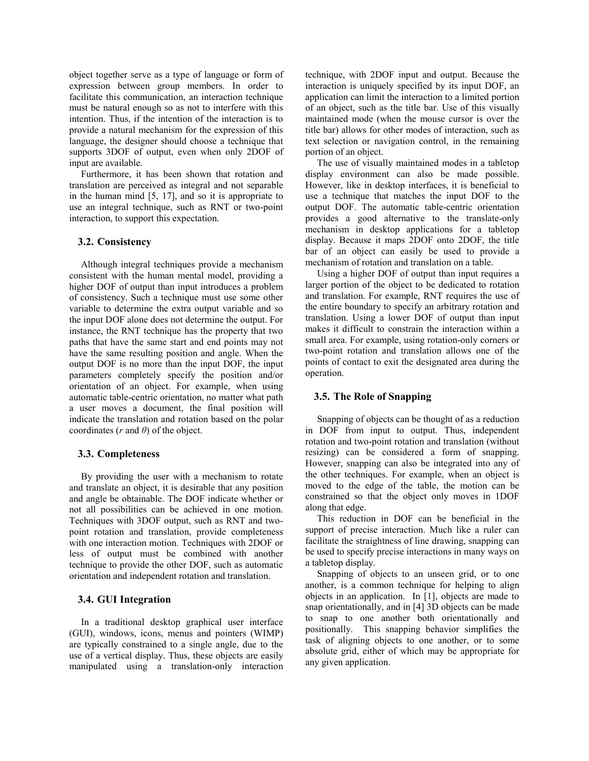object together serve as a type of language or form of expression between group members. In order to facilitate this communication, an interaction technique must be natural enough so as not to interfere with this intention. Thus, if the intention of the interaction is to provide a natural mechanism for the expression of this language, the designer should choose a technique that supports 3DOF of output, even when only 2DOF of input are available.

Furthermore, it has been shown that rotation and translation are perceived as integral and not separable in the human mind [5, 17], and so it is appropriate to use an integral technique, such as RNT or two-point interaction, to support this expectation.

#### **3.2. Consistency**

Although integral techniques provide a mechanism consistent with the human mental model, providing a higher DOF of output than input introduces a problem of consistency. Such a technique must use some other variable to determine the extra output variable and so the input DOF alone does not determine the output. For instance, the RNT technique has the property that two paths that have the same start and end points may not have the same resulting position and angle. When the output DOF is no more than the input DOF, the input parameters completely specify the position and/or orientation of an object. For example, when using automatic table-centric orientation, no matter what path a user moves a document, the final position will indicate the translation and rotation based on the polar coordinates (*r* and *θ*) of the object.

### **3.3. Completeness**

By providing the user with a mechanism to rotate and translate an object, it is desirable that any position and angle be obtainable. The DOF indicate whether or not all possibilities can be achieved in one motion. Techniques with 3DOF output, such as RNT and twopoint rotation and translation, provide completeness with one interaction motion. Techniques with 2DOF or less of output must be combined with another technique to provide the other DOF, such as automatic orientation and independent rotation and translation.

### **3.4. GUI Integration**

In a traditional desktop graphical user interface (GUI), windows, icons, menus and pointers (WIMP) are typically constrained to a single angle, due to the use of a vertical display. Thus, these objects are easily manipulated using a translation-only interaction technique, with 2DOF input and output. Because the interaction is uniquely specified by its input DOF, an application can limit the interaction to a limited portion of an object, such as the title bar. Use of this visually maintained mode (when the mouse cursor is over the title bar) allows for other modes of interaction, such as text selection or navigation control, in the remaining portion of an object.

The use of visually maintained modes in a tabletop display environment can also be made possible. However, like in desktop interfaces, it is beneficial to use a technique that matches the input DOF to the output DOF. The automatic table-centric orientation provides a good alternative to the translate-only mechanism in desktop applications for a tabletop display. Because it maps 2DOF onto 2DOF, the title bar of an object can easily be used to provide a mechanism of rotation and translation on a table.

Using a higher DOF of output than input requires a larger portion of the object to be dedicated to rotation and translation. For example, RNT requires the use of the entire boundary to specify an arbitrary rotation and translation. Using a lower DOF of output than input makes it difficult to constrain the interaction within a small area. For example, using rotation-only corners or two-point rotation and translation allows one of the points of contact to exit the designated area during the operation.

### **3.5. The Role of Snapping**

Snapping of objects can be thought of as a reduction in DOF from input to output. Thus, independent rotation and two-point rotation and translation (without resizing) can be considered a form of snapping. However, snapping can also be integrated into any of the other techniques. For example, when an object is moved to the edge of the table, the motion can be constrained so that the object only moves in 1DOF along that edge.

This reduction in DOF can be beneficial in the support of precise interaction. Much like a ruler can facilitate the straightness of line drawing, snapping can be used to specify precise interactions in many ways on a tabletop display.

Snapping of objects to an unseen grid, or to one another, is a common technique for helping to align objects in an application. In [1], objects are made to snap orientationally, and in [4] 3D objects can be made to snap to one another both orientationally and positionally. This snapping behavior simplifies the task of aligning objects to one another, or to some absolute grid, either of which may be appropriate for any given application.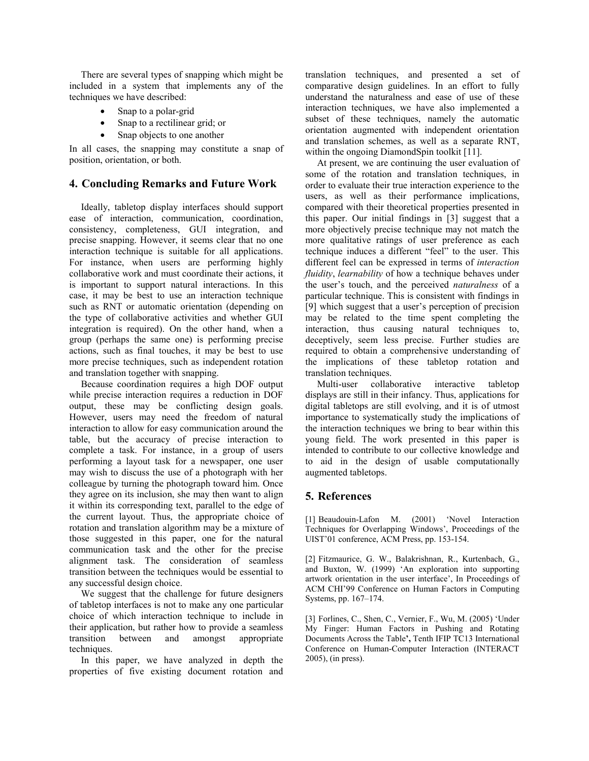There are several types of snapping which might be included in a system that implements any of the techniques we have described:

- Snap to a polar-grid
- Snap to a rectilinear grid; or
- Snap objects to one another

In all cases, the snapping may constitute a snap of position, orientation, or both.

## **4. Concluding Remarks and Future Work**

Ideally, tabletop display interfaces should support ease of interaction, communication, coordination, consistency, completeness, GUI integration, and precise snapping. However, it seems clear that no one interaction technique is suitable for all applications. For instance, when users are performing highly collaborative work and must coordinate their actions, it is important to support natural interactions. In this case, it may be best to use an interaction technique such as RNT or automatic orientation (depending on the type of collaborative activities and whether GUI integration is required). On the other hand, when a group (perhaps the same one) is performing precise actions, such as final touches, it may be best to use more precise techniques, such as independent rotation and translation together with snapping.

Because coordination requires a high DOF output while precise interaction requires a reduction in DOF output, these may be conflicting design goals. However, users may need the freedom of natural interaction to allow for easy communication around the table, but the accuracy of precise interaction to complete a task. For instance, in a group of users performing a layout task for a newspaper, one user may wish to discuss the use of a photograph with her colleague by turning the photograph toward him. Once they agree on its inclusion, she may then want to align it within its corresponding text, parallel to the edge of the current layout. Thus, the appropriate choice of rotation and translation algorithm may be a mixture of those suggested in this paper, one for the natural communication task and the other for the precise alignment task. The consideration of seamless transition between the techniques would be essential to any successful design choice.

We suggest that the challenge for future designers of tabletop interfaces is not to make any one particular choice of which interaction technique to include in their application, but rather how to provide a seamless transition between and amongst appropriate techniques.

In this paper, we have analyzed in depth the properties of five existing document rotation and translation techniques, and presented a set of comparative design guidelines. In an effort to fully understand the naturalness and ease of use of these interaction techniques, we have also implemented a subset of these techniques, namely the automatic orientation augmented with independent orientation and translation schemes, as well as a separate RNT, within the ongoing DiamondSpin toolkit [11].

At present, we are continuing the user evaluation of some of the rotation and translation techniques, in order to evaluate their true interaction experience to the users, as well as their performance implications, compared with their theoretical properties presented in this paper. Our initial findings in [3] suggest that a more objectively precise technique may not match the more qualitative ratings of user preference as each technique induces a different "feel" to the user. This different feel can be expressed in terms of *interaction fluidity*, *learnability* of how a technique behaves under the user's touch, and the perceived *naturalness* of a particular technique. This is consistent with findings in [9] which suggest that a user's perception of precision may be related to the time spent completing the interaction, thus causing natural techniques to, deceptively, seem less precise. Further studies are required to obtain a comprehensive understanding of the implications of these tabletop rotation and translation techniques.

Multi-user collaborative interactive tabletop displays are still in their infancy. Thus, applications for digital tabletops are still evolving, and it is of utmost importance to systematically study the implications of the interaction techniques we bring to bear within this young field. The work presented in this paper is intended to contribute to our collective knowledge and to aid in the design of usable computationally augmented tabletops.

## **5. References**

[1] Beaudouin-Lafon M. (2001) 'Novel Interaction Techniques for Overlapping Windows', Proceedings of the UIST'01 conference, ACM Press, pp. 153-154.

[2] Fitzmaurice, G. W., Balakrishnan, R., Kurtenbach, G., and Buxton, W. (1999) 'An exploration into supporting artwork orientation in the user interface', In Proceedings of ACM CHI'99 Conference on Human Factors in Computing Systems, pp. 167–174.

[3] Forlines, C., Shen, C., Vernier, F., Wu, M. (2005) 'Under My Finger: Human Factors in Pushing and Rotating Documents Across the Table**',** Tenth IFIP TC13 International Conference on Human-Computer Interaction (INTERACT 2005), (in press).